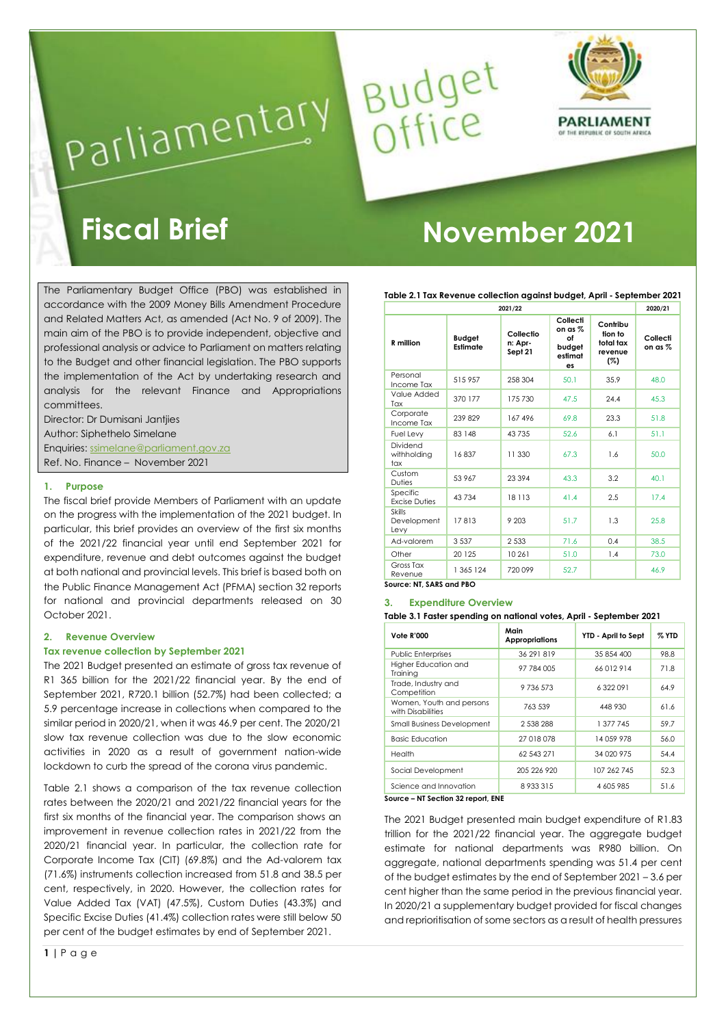

The Parliamentary Budget Office (PBO) was established in accordance with the 2009 Money Bills Amendment Procedure and Related Matters Act, as amended (Act No. 9 of 2009). The main aim of the PBO is to provide independent, objective and professional analysis or advice to Parliament on matters relating to the Budget and other financial legislation. The PBO supports the implementation of the Act by undertaking research and analysis for the relevant Finance and Appropriations committees.

Parliamentary

Director: Dr Dumisani Jantjies Author: Siphethelo Simelane Enquiries: [ssimelane@parliament.gov.za](mailto:ssimelane@parliament.gov.za) Ref. No. Finance – November 2021

# **1. Purpose**

The fiscal brief provide Members of Parliament with an update on the progress with the implementation of the 2021 budget. In particular, this brief provides an overview of the first six months of the 2021/22 financial year until end September 2021 for expenditure, revenue and debt outcomes against the budget at both national and provincial levels. This brief is based both on the Public Finance Management Act (PFMA) section 32 reports for national and provincial departments released on 30 October 2021.

# **2. Revenue Overview**

### **Tax revenue collection by September 2021**

The 2021 Budget presented an estimate of gross tax revenue of R1 365 billion for the 2021/22 financial year. By the end of September 2021, R720.1 billion (52.7%) had been collected; a 5.9 percentage increase in collections when compared to the similar period in 2020/21, when it was 46.9 per cent. The 2020/21 slow tax revenue collection was due to the slow economic activities in 2020 as a result of government nation-wide lockdown to curb the spread of the corona virus pandemic.

Table 2.1 shows a comparison of the tax revenue collection rates between the 2020/21 and 2021/22 financial years for the first six months of the financial year. The comparison shows an improvement in revenue collection rates in 2021/22 from the 2020/21 financial year. In particular, the collection rate for Corporate Income Tax (CIT) (69.8%) and the Ad-valorem tax (71.6%) instruments collection increased from 51.8 and 38.5 per cent, respectively, in 2020. However, the collection rates for Value Added Tax (VAT) (47.5%), Custom Duties (43.3%) and Specific Excise Duties (41.4%) collection rates were still below 50 per cent of the budget estimates by end of September 2021.

# **Fiscal Brief November 2021**

**Table 2.1 Tax Revenue collection against budget, April - September 2021**

| 2021/22                                          |                           |                                 |                                                      |                                                    |                     |
|--------------------------------------------------|---------------------------|---------------------------------|------------------------------------------------------|----------------------------------------------------|---------------------|
| R million                                        | <b>Budget</b><br>Estimate | Collectio<br>n: Apr-<br>Sept 21 | Collecti<br>on as %<br>Ωf<br>budget<br>estimat<br>es | Contribu<br>tion to<br>total tax<br>revenue<br>(%) | Collecti<br>on as % |
| Personal<br>Income Tax                           | 515957                    | 258 304                         | 50.1                                                 | 35.9                                               | 48.0                |
| Value Added<br>Tax                               | 370 177                   | 175 730                         | 47.5                                                 | 24.4                                               | 45.3                |
| Corporate<br>Income Tax                          | 239829                    | 167 496                         | 69.8                                                 | 23.3                                               | 51.8                |
| Fuel Levy                                        | 83 148                    | 43735                           | 52.6                                                 | 6.1                                                | 51.1                |
| Dividend<br>withholding<br>tax                   | 16837                     | 11 330                          | 67.3                                                 | 1.6                                                | 50.0                |
| Custom<br><b>Duties</b>                          | 53 967                    | 23 394                          | 43.3                                                 | 3.2                                                | 40.1                |
| Specific<br><b>Excise Duties</b>                 | 43 734                    | 18 1 13                         | 41.4                                                 | 2.5                                                | 17.4                |
| <b>Skills</b><br>Development<br>Levy             | 17813                     | 9 203                           | 51.7                                                 | 1.3                                                | 25.8                |
| Ad-valorem                                       | 3537                      | 2 5 3 3                         | 71.6                                                 | 0.4                                                | 38.5                |
| Other                                            | 20 1 25                   | 10 261                          | 51.0                                                 | 1.4                                                | 73.0                |
| Gross Tax<br>Revenue<br>Concert AIR CARC and BRO | 1 365 124                 | 720 099                         | 52.7                                                 |                                                    | 46.9                |

# **Source: NT, SARS and PBO**

Budget<br>Office

#### **3. Expenditure Overview**

#### **Table 3.1 Faster spending on national votes, April - September 2021**

| <b>Vote R'000</b>                             | Main<br><b>Appropriations</b> | YTD - April to Sept | $\%$ YTD |
|-----------------------------------------------|-------------------------------|---------------------|----------|
| <b>Public Enterprises</b>                     | 36 291 819                    | 35 854 400          | 98.8     |
| Higher Education and<br>Training              | 97 784 005                    | 66012914            | 71.8     |
| Trade, Industry and<br>Competition            | 9 736 573                     | 6322091             | 64.9     |
| Women, Youth and persons<br>with Disabilities | 763 539                       | 448 930             | 61.6     |
| <b>Small Business Development</b>             | 2 538 288                     | 1 377 745           | 59.7     |
| <b>Basic Education</b>                        | 27 018 078                    | 14 059 978          | 56.0     |
| Health                                        | 62 543 271                    | 34 020 975          | 54.4     |
| Social Development                            | 205 226 920                   | 107 262 745         | 52.3     |
| Science and Innovation                        | 8933315                       | 4 605 985           | 51.6     |

**Source – NT Section 32 report, ENE**

The 2021 Budget presented main budget expenditure of R1.83 trillion for the 2021/22 financial year. The aggregate budget estimate for national departments was R980 billion. On aggregate, national departments spending was 51.4 per cent of the budget estimates by the end of September 2021 – 3.6 per cent higher than the same period in the previous financial year. In 2020/21 a supplementary budget provided for fiscal changes and reprioritisation of some sectors as a result of health pressures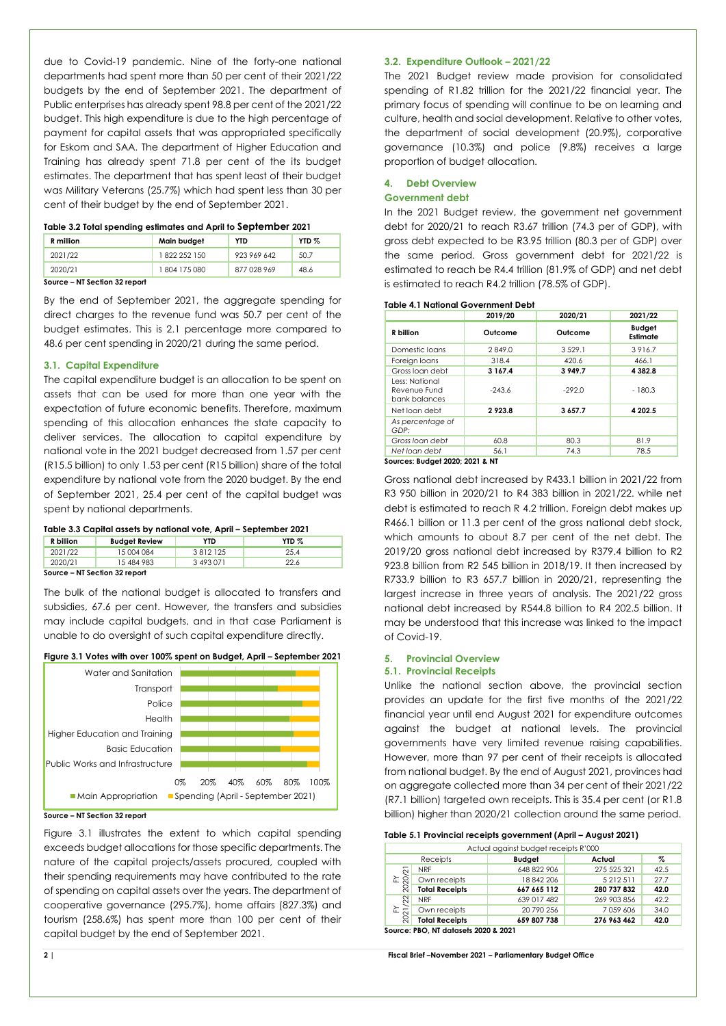due to Covid-19 pandemic. Nine of the forty-one national departments had spent more than 50 per cent of their 2021/22 budgets by the end of September 2021. The department of Public enterprises has already spent 98.8 per cent of the 2021/22 budget. This high expenditure is due to the high percentage of payment for capital assets that was appropriated specifically for Eskom and SAA. The department of Higher Education and Training has already spent 71.8 per cent of the its budget estimates. The department that has spent least of their budget was Military Veterans (25.7%) which had spent less than 30 per cent of their budget by the end of September 2021.

#### **Table 3.2 Total spending estimates and April to September 2021**

| R million | Main budget  | <b>YTD</b>  | YTD <sub>%</sub> |
|-----------|--------------|-------------|------------------|
| 2021/22   | 1822 252 150 | 923 969 642 | 50.7             |
| 2020/21   | 1804175080   | 877 028 969 | 48.6             |

#### **Source – NT Section 32 report**

By the end of September 2021, the aggregate spending for direct charges to the revenue fund was 50.7 per cent of the budget estimates. This is 2.1 percentage more compared to 48.6 per cent spending in 2020/21 during the same period.

## **3.1. Capital Expenditure**

The capital expenditure budget is an allocation to be spent on assets that can be used for more than one year with the expectation of future economic benefits. Therefore, maximum spending of this allocation enhances the state capacity to deliver services. The allocation to capital expenditure by national vote in the 2021 budget decreased from 1.57 per cent (R15.5 billion) to only 1.53 per cent (R15 billion) share of the total expenditure by national vote from the 2020 budget. By the end of September 2021, 25.4 per cent of the capital budget was spent by national departments.

### **Table 3.3 Capital assets by national vote, April – September 2021**

| R billion                     | <b>Budget Review</b> | <b>YTD</b> | YTD <sub>%</sub> |  |  |
|-------------------------------|----------------------|------------|------------------|--|--|
| 2021/22                       | 15 004 084           | 3812125    | 25.4             |  |  |
| 2020/21                       | 15 484 983           | 3 493 071  | 22.6             |  |  |
| Source - NT Section 32 report |                      |            |                  |  |  |

The bulk of the national budget is allocated to transfers and subsidies, 67.6 per cent. However, the transfers and subsidies may include capital budgets, and in that case Parliament is unable to do oversight of such capital expenditure directly.

#### **Figure 3.1 Votes with over 100% spent on Budget, April – September 2021**



#### **Source – NT Section 32 report**

Figure 3.1 illustrates the extent to which capital spending exceeds budget allocations for those specific departments. The nature of the capital projects/assets procured, coupled with their spending requirements may have contributed to the rate of spending on capital assets over the years. The department of cooperative governance (295.7%), home affairs (827.3%) and tourism (258.6%) has spent more than 100 per cent of their capital budget by the end of September 2021.

# **3.2. Expenditure Outlook – 2021/22**

The 2021 Budget review made provision for consolidated spending of R1.82 trillion for the 2021/22 financial year. The primary focus of spending will continue to be on learning and culture, health and social development. Relative to other votes, the department of social development (20.9%), corporative governance (10.3%) and police (9.8%) receives a large proportion of budget allocation.

#### **4. Debt Overview**

### **Government debt**

In the 2021 Budget review, the government net government debt for 2020/21 to reach R3.67 trillion (74.3 per of GDP), with gross debt expected to be R3.95 trillion (80.3 per of GDP) over the same period. Gross government debt for 2021/22 is estimated to reach be R4.4 trillion (81.9% of GDP) and net debt is estimated to reach R4.2 trillion (78.5% of GDP).

#### **Table 4.1 National Government Debt**

|                                                        | 2019/20    | 2020/21  | 2021/22                   |
|--------------------------------------------------------|------------|----------|---------------------------|
| R billion                                              | Outcome    | Outcome  | <b>Budget</b><br>Estimate |
| Domestic loans                                         | 2849.0     | 3.529.1  | 3916.7                    |
| Foreign loans                                          | 318.4      | 420.6    | 466.1                     |
| Gross loan debt                                        | 3 1 6 7 .4 | 3949.7   | 4382.8                    |
| <b>Less: National</b><br>Revenue Fund<br>bank balances | $-243.6$   | $-292.0$ | $-180.3$                  |
| Net loan debt                                          | 2923.8     | 3657.7   | 4 202.5                   |
| As percentage of<br>GDP:                               |            |          |                           |
| Gross loan debt                                        | 60.8       | 80.3     | 81.9                      |
| Net loan debt                                          | 56.1       | 74.3     | 78.5                      |

**Sources: Budget 2020; 2021 & NT**

Gross national debt increased by R433.1 billion in 2021/22 from R3 950 billion in 2020/21 to R4 383 billion in 2021/22. while net debt is estimated to reach R 4.2 trillion. Foreign debt makes up R466.1 billion or 11.3 per cent of the gross national debt stock, which amounts to about 8.7 per cent of the net debt. The 2019/20 gross national debt increased by R379.4 billion to R2 923.8 billion from R2 545 billion in 2018/19. It then increased by R733.9 billion to R3 657.7 billion in 2020/21, representing the largest increase in three years of analysis. The 2021/22 gross national debt increased by R544.8 billion to R4 202.5 billion. It may be understood that this increase was linked to the impact of Covid-19.

# **5. Provincial Overview**

# **5.1. Provincial Receipts**

Unlike the national section above, the provincial section provides an update for the first five months of the 2021/22 financial year until end August 2021 for expenditure outcomes against the budget at national levels. The provincial governments have very limited revenue raising capabilities. However, more than 97 per cent of their receipts is allocated from national budget. By the end of August 2021, provinces had on aggregate collected more than 34 per cent of their 2021/22 (R7.1 billion) targeted own receipts. This is 35.4 per cent (or R1.8 billion) higher than 2020/21 collection around the same period.

### **Table 5.1 Provincial receipts government (April – August 2021)**

|            | Actual against budget receipts R'000 |                       |               |             |      |  |  |
|------------|--------------------------------------|-----------------------|---------------|-------------|------|--|--|
|            |                                      | Receipts              | <b>Budget</b> | Actual      | %    |  |  |
| <b>NRF</b> |                                      |                       | 648 822 906   | 275 525 321 | 42.5 |  |  |
|            | $FY$<br>2020/21                      | Own receipts          | 18842206      | 5 21 2 5 11 | 27.7 |  |  |
|            |                                      | <b>Total Receipts</b> | 667 665 112   | 280 737 832 | 42.0 |  |  |
|            | /22                                  | <b>NRF</b>            | 639 017 482   | 269 903 856 | 42.2 |  |  |
|            |                                      | Own receipts          | 20 790 256    | 7 059 606   | 34.0 |  |  |
|            | $rac{F}{2021}$                       | <b>Total Receipts</b> | 659 807 738   | 276 963 462 | 42.0 |  |  |
|            |                                      | --- -- -<br>---- -    |               |             |      |  |  |

**Source: PBO, NT datasets 2020 & 2021**

**2 | Fiscal Brief –November 2021 – Parliamentary Budget Office**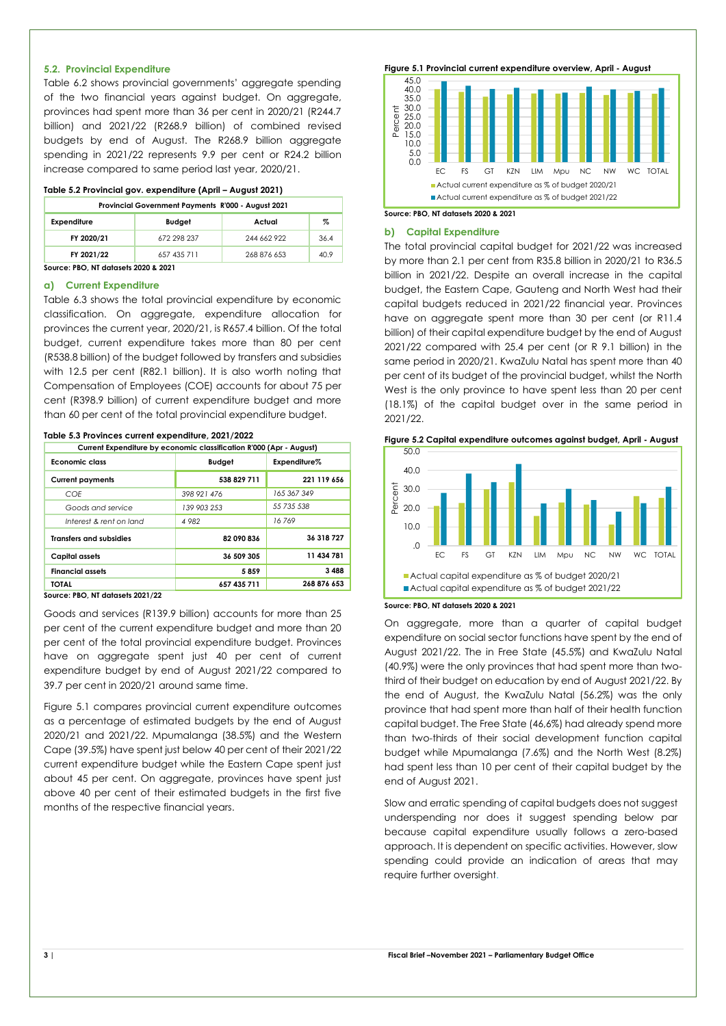# **5.2. Provincial Expenditure**

Table 6.2 shows provincial governments' aggregate spending of the two financial years against budget. On aggregate, provinces had spent more than 36 per cent in 2020/21 (R244.7 billion) and 2021/22 (R268.9 billion) of combined revised budgets by end of August. The R268.9 billion aggregate spending in 2021/22 represents 9.9 per cent or R24.2 billion increase compared to same period last year, 2020/21.

#### **Table 5.2 Provincial gov. expenditure (April – August 2021)**

| Provincial Government Payments R'000 - August 2021 |             |             |      |  |  |
|----------------------------------------------------|-------------|-------------|------|--|--|
| <b>Expenditure</b>                                 | Budget      | Actual      | %    |  |  |
| FY 2020/21                                         | 672 298 237 | 244 662 922 | 36.4 |  |  |
| FY 2021/22                                         | 657 435 711 | 268 876 653 |      |  |  |

**Source: PBO, NT datasets 2020 & 2021**

#### **a) Current Expenditure**

Table 6.3 shows the total provincial expenditure by economic classification. On aggregate, expenditure allocation for provinces the current year, 2020/21, is R657.4 billion. Of the total budget, current expenditure takes more than 80 per cent (R538.8 billion) of the budget followed by transfers and subsidies with 12.5 per cent (R82.1 billion). It is also worth noting that Compensation of Employees (COE) accounts for about 75 per cent (R398.9 billion) of current expenditure budget and more than 60 per cent of the total provincial expenditure budget.

#### **Table 5.3 Provinces current expenditure, 2021/2022**

| Current Expenditure by economic classification R'000 (Apr - August) |               |              |  |
|---------------------------------------------------------------------|---------------|--------------|--|
| Economic class                                                      | <b>Budget</b> | Expenditure% |  |
| <b>Current payments</b>                                             | 538 829 711   | 221 119 656  |  |
| COF                                                                 | 398 921 476   | 165 367 349  |  |
| Goods and service                                                   | 139 903 253   | 55 735 538   |  |
| Interest & rent on land                                             | 4 982         | 16769        |  |
| <b>Transfers and subsidies</b>                                      | 82 090 836    | 36 318 727   |  |
| <b>Capital assets</b>                                               | 36 509 305    | 11 434 781   |  |
| <b>Financial assets</b>                                             | 5859          | 3488         |  |
| <b>TOTAL</b>                                                        | 657 435 711   | 268 876 653  |  |
| Source: PRO NT datasets 2021/22                                     |               |              |  |

**Source: PBO, NT datasets 2021/22**

Goods and services (R139.9 billion) accounts for more than 25 per cent of the current expenditure budget and more than 20 per cent of the total provincial expenditure budget. Provinces have on aggregate spent just 40 per cent of current expenditure budget by end of August 2021/22 compared to 39.7 per cent in 2020/21 around same time.

Figure 5.1 compares provincial current expenditure outcomes as a percentage of estimated budgets by the end of August 2020/21 and 2021/22. Mpumalanga (38.5%) and the Western Cape (39.5%) have spent just below 40 per cent of their 2021/22 current expenditure budget while the Eastern Cape spent just about 45 per cent. On aggregate, provinces have spent just above 40 per cent of their estimated budgets in the first five months of the respective financial years.





# **Source: PBO, NT datasets 2020 & 2021**

# **b) Capital Expenditure**

The total provincial capital budget for 2021/22 was increased by more than 2.1 per cent from R35.8 billion in 2020/21 to R36.5 billion in 2021/22. Despite an overall increase in the capital budget, the Eastern Cape, Gauteng and North West had their capital budgets reduced in 2021/22 financial year. Provinces have on aggregate spent more than 30 per cent (or R11.4 billion) of their capital expenditure budget by the end of August 2021/22 compared with 25.4 per cent (or R 9.1 billion) in the same period in 2020/21. KwaZulu Natal has spent more than 40 per cent of its budget of the provincial budget, whilst the North West is the only province to have spent less than 20 per cent (18.1%) of the capital budget over in the same period in 2021/22.





#### **Source: PBO, NT datasets 2020 & 2021**

On aggregate, more than a quarter of capital budget expenditure on social sector functions have spent by the end of August 2021/22. The in Free State (45.5%) and KwaZulu Natal (40.9%) were the only provinces that had spent more than twothird of their budget on education by end of August 2021/22. By the end of August, the KwaZulu Natal (56.2%) was the only province that had spent more than half of their health function capital budget. The Free State (46,6%) had already spend more than two-thirds of their social development function capital budget while Mpumalanga (7.6%) and the North West (8.2%) had spent less than 10 per cent of their capital budget by the end of August 2021.

Slow and erratic spending of capital budgets does not suggest underspending nor does it suggest spending below par because capital expenditure usually follows a zero-based approach. It is dependent on specific activities. However, slow spending could provide an indication of areas that may require further oversight.